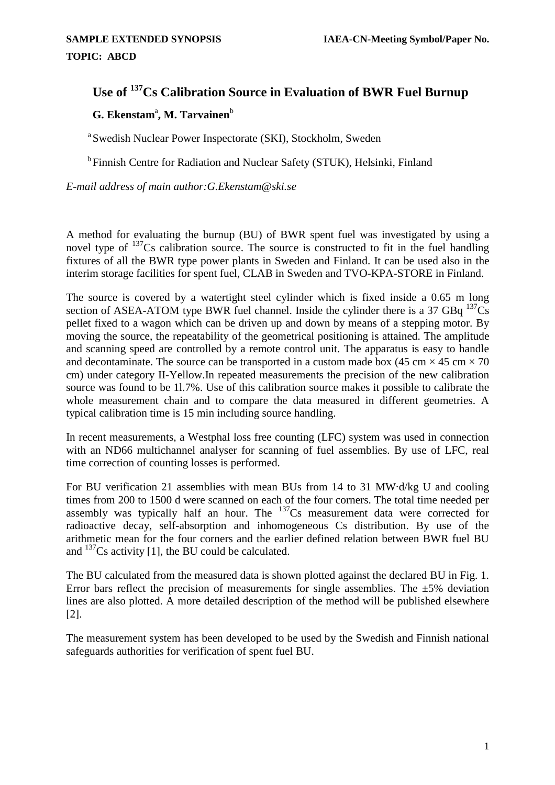## **Use of 137Cs Calibration Source in Evaluation of BWR Fuel Burnup**

## $\mathbf{G.}$  Ekenstam<sup>a</sup>, M. Tarvainen<sup>b</sup>

a Swedish Nuclear Power Inspectorate (SKI), Stockholm, Sweden

<sup>b</sup> Finnish Centre for Radiation and Nuclear Safety (STUK), Helsinki, Finland

*E-mail address of main author:G.Ekenstam@ski.se* 

A method for evaluating the burnup (BU) of BWR spent fuel was investigated by using a novel type of  $137$ Cs calibration source. The source is constructed to fit in the fuel handling fixtures of all the BWR type power plants in Sweden and Finland. It can be used also in the interim storage facilities for spent fuel, CLAB in Sweden and TVO-KPA-STORE in Finland.

The source is covered by a watertight steel cylinder which is fixed inside a 0.65 m long section of ASEA-ATOM type BWR fuel channel. Inside the cylinder there is a 37 GBq  $^{137}Cs$ pellet fixed to a wagon which can be driven up and down by means of a stepping motor. By moving the source, the repeatability of the geometrical positioning is attained. The amplitude and scanning speed are controlled by a remote control unit. The apparatus is easy to handle and decontaminate. The source can be transported in a custom made box (45 cm  $\times$  45 cm  $\times$  70 cm) under category II-Yellow.In repeated measurements the precision of the new calibration source was found to be 1l.7%. Use of this calibration source makes it possible to calibrate the whole measurement chain and to compare the data measured in different geometries. A typical calibration time is 15 min including source handling.

In recent measurements, a Westphal loss free counting (LFC) system was used in connection with an ND66 multichannel analyser for scanning of fuel assemblies. By use of LFC, real time correction of counting losses is performed.

For BU verification 21 assemblies with mean BUs from 14 to 31 MW·d/kg U and cooling times from 200 to 1500 d were scanned on each of the four corners. The total time needed per assembly was typically half an hour. The  $137Cs$  measurement data were corrected for radioactive decay, self-absorption and inhomogeneous Cs distribution. By use of the arithmetic mean for the four corners and the earlier defined relation between BWR fuel BU and  $137$ Cs activity [1], the BU could be calculated.

The BU calculated from the measured data is shown plotted against the declared BU in Fig. 1. Error bars reflect the precision of measurements for single assemblies. The  $\pm 5\%$  deviation lines are also plotted. A more detailed description of the method will be published elsewhere [2].

The measurement system has been developed to be used by the Swedish and Finnish national safeguards authorities for verification of spent fuel BU.